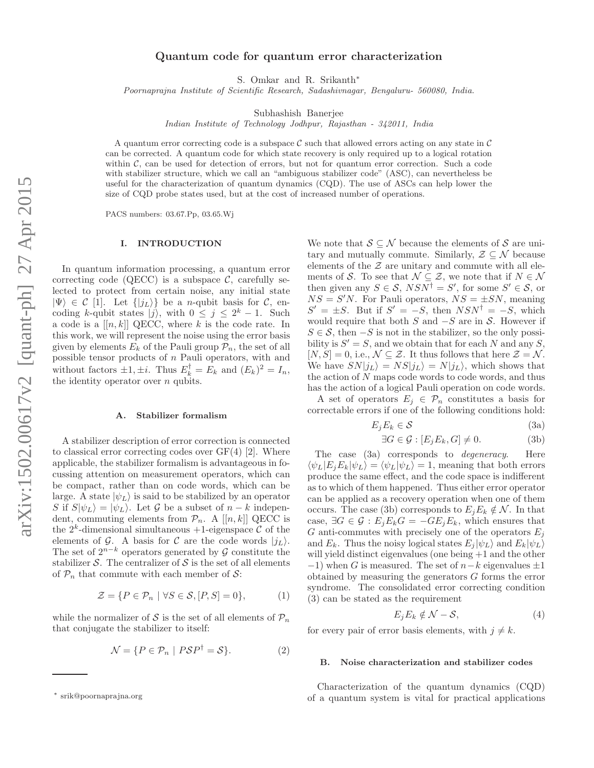# Quantum code for quantum error characterization

S. Omkar and R. Srikanth∗

Poornaprajna Institute of Scientific Research, Sadashivnagar, Bengaluru- 560080, India.

Subhashish Banerjee

Indian Institute of Technology Jodhpur, Rajasthan - 342011, India

A quantum error correcting code is a subspace C such that allowed errors acting on any state in C can be corrected. A quantum code for which state recovery is only required up to a logical rotation within  $C$ , can be used for detection of errors, but not for quantum error correction. Such a code with stabilizer structure, which we call an "ambiguous stabilizer code" (ASC), can nevertheless be useful for the characterization of quantum dynamics (CQD). The use of ASCs can help lower the size of CQD probe states used, but at the cost of increased number of operations.

PACS numbers: 03.67.Pp, 03.65.Wj

### I. INTRODUCTION

In quantum information processing, a quantum error correcting code (QECC) is a subspace  $\mathcal{C}$ , carefully selected to protect from certain noise, any initial state  $|\Psi\rangle \in \mathcal{C}$  [1]. Let  $\{|j_L\rangle\}$  be a *n*-qubit basis for  $\mathcal{C}$ , encoding k-qubit states  $|j\rangle$ , with  $0 \le j \le 2^k - 1$ . Such a code is a  $[[n, k]]$  QECC, where k is the code rate. In this work, we will represent the noise using the error basis given by elements  $E_k$  of the Pauli group  $\mathcal{P}_n$ , the set of all possible tensor products of n Pauli operators, with and without factors  $\pm 1, \pm i$ . Thus  $E_k^{\dagger} = E_k$  and  $(E_k)^2 = I_n$ , the identity operator over  $n$  qubits.

# A. Stabilizer formalism

A stabilizer description of error correction is connected to classical error correcting codes over  $GF(4)$  [2]. Where applicable, the stabilizer formalism is advantageous in focussing attention on measurement operators, which can be compact, rather than on code words, which can be large. A state  $|\psi_L\rangle$  is said to be stabilized by an operator S if  $S|\psi_L\rangle = |\psi_L\rangle$ . Let G be a subset of  $n - k$  independent, commuting elements from  $\mathcal{P}_n$ . A [[n, k]] QECC is the  $2^k$ -dimensional simultaneous  $+1$ -eigenspace  $C$  of the elements of G. A basis for C are the code words  $|j_L\rangle$ . The set of  $2^{n-k}$  operators generated by G constitute the stabilizer  $S$ . The centralizer of  $S$  is the set of all elements of  $\mathcal{P}_n$  that commute with each member of  $\mathcal{S}$ :

$$
\mathcal{Z} = \{ P \in \mathcal{P}_n \mid \forall S \in \mathcal{S}, [P, S] = 0 \},\tag{1}
$$

while the normalizer of S is the set of all elements of  $\mathcal{P}_n$ that conjugate the stabilizer to itself:

$$
\mathcal{N} = \{ P \in \mathcal{P}_n \mid P\mathcal{S}P^\dagger = \mathcal{S} \}. \tag{2}
$$

We note that  $S \subseteq \mathcal{N}$  because the elements of S are unitary and mutually commute. Similarly,  $\mathcal{Z} \subseteq \mathcal{N}$  because elements of the  $\mathcal Z$  are unitary and commute with all elements of S. To see that  $\mathcal{N} \subseteq \mathcal{Z}$ , we note that if  $N \in \mathcal{N}$ then given any  $S \in \mathcal{S}$ ,  $NSN^{\dagger} = S'$ , for some  $S' \in \mathcal{S}$ , or  $NS = S'N$ . For Pauli operators,  $NS = \pm SN$ , meaning  $S' = \pm S$ . But if  $S' = -S$ , then  $NSN^{\dagger} = -S$ , which would require that both  $S$  and  $-S$  are in  $S$ . However if  $S \in \mathcal{S}$ , then  $-S$  is not in the stabilizer, so the only possibility is  $S' = S$ , and we obtain that for each N and any S,  $[N, S] = 0$ , i.e.,  $\mathcal{N} \subseteq \mathcal{Z}$ . It thus follows that here  $\mathcal{Z} = \mathcal{N}$ . We have  $SN|j_L\rangle = NS|j_L\rangle = N|j_L\rangle$ , which shows that the action of  $N$  maps code words to code words, and thus has the action of a logical Pauli operation on code words.

A set of operators  $E_j \in \mathcal{P}_n$  constitutes a basis for correctable errors if one of the following conditions hold:

$$
E_j E_k \in \mathcal{S} \tag{3a}
$$

$$
\exists G \in \mathcal{G} : [E_j E_k, G] \neq 0. \tag{3b}
$$

The case (3a) corresponds to *degeneracy*. Here  $\langle \psi_L | E_i E_k | \psi_L \rangle = \langle \psi_L | \psi_L \rangle = 1$ , meaning that both errors produce the same effect, and the code space is indifferent as to which of them happened. Thus either error operator can be applied as a recovery operation when one of them occurs. The case (3b) corresponds to  $E_jE_k \notin \mathcal{N}$ . In that case,  $\exists G \in \mathcal{G} : E_j E_k G = -G E_j E_k$ , which ensures that G anti-commutes with precisely one of the operators  $E_i$ and  $E_k$ . Thus the noisy logical states  $E_j|\psi_L\rangle$  and  $E_k|\psi_L\rangle$ will yield distinct eigenvalues (one being +1 and the other  $-1$ ) when G is measured. The set of  $n-k$  eigenvalues  $\pm 1$ obtained by measuring the generators G forms the error syndrome. The consolidated error correcting condition (3) can be stated as the requirement

$$
E_j E_k \notin \mathcal{N} - \mathcal{S},\tag{4}
$$

for every pair of error basis elements, with  $j \neq k$ .

#### B. Noise characterization and stabilizer codes

Characterization of the quantum dynamics (CQD) of a quantum system is vital for practical applications

<sup>∗</sup> srik@poornaprajna.org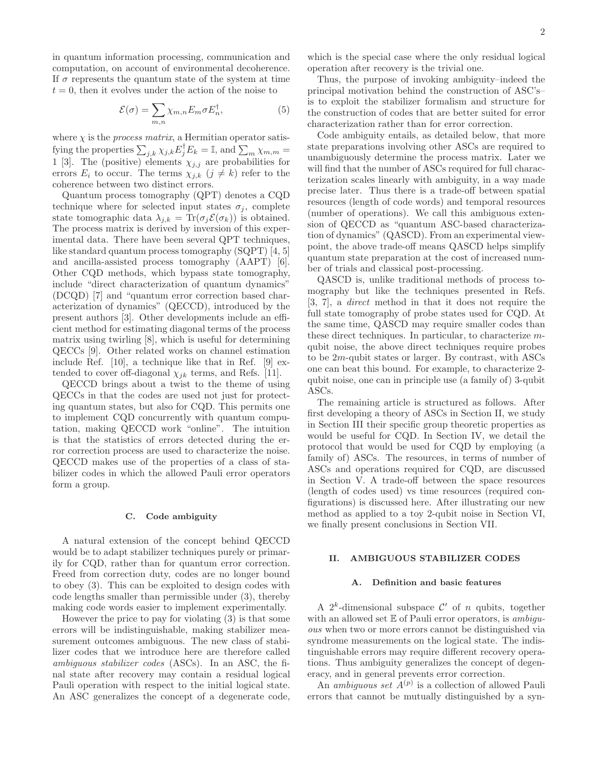in quantum information processing, communication and computation, on account of environmental decoherence. If  $\sigma$  represents the quantum state of the system at time  $t = 0$ , then it evolves under the action of the noise to

$$
\mathcal{E}(\sigma) = \sum_{m,n} \chi_{m,n} E_m \sigma E_n^{\dagger}, \tag{5}
$$

where  $\chi$  is the *process matrix*, a Hermitian operator satisfying the properties  $\sum_{j,k} \chi_{j,k} E_j^{\dagger} E_k = \mathbb{I}$ , and  $\sum_m \chi_{m,m} =$ 1 [3]. The (positive) elements  $\chi_{j,j}$  are probabilities for errors  $E_i$  to occur. The terms  $\chi_{i,k}$   $(j \neq k)$  refer to the coherence between two distinct errors.

Quantum process tomography (QPT) denotes a CQD technique where for selected input states  $\sigma_j$ , complete state tomographic data  $\lambda_{j,k} = \text{Tr}(\sigma_j \mathcal{E}(\sigma_k))$  is obtained. The process matrix is derived by inversion of this experimental data. There have been several QPT techniques, like standard quantum process tomography (SQPT) [4, 5] and ancilla-assisted process tomography (AAPT) [6]. Other CQD methods, which bypass state tomography, include "direct characterization of quantum dynamics" (DCQD) [7] and "quantum error correction based characterization of dynamics" (QECCD), introduced by the present authors [3]. Other developments include an efficient method for estimating diagonal terms of the process matrix using twirling [8], which is useful for determining QECCs [9]. Other related works on channel estimation include Ref. [10], a technique like that in Ref. [9] extended to cover off-diagonal  $\chi_{jk}$  terms, and Refs. [11].

QECCD brings about a twist to the theme of using QECCs in that the codes are used not just for protecting quantum states, but also for CQD. This permits one to implement CQD concurrently with quantum computation, making QECCD work "online". The intuition is that the statistics of errors detected during the error correction process are used to characterize the noise. QECCD makes use of the properties of a class of stabilizer codes in which the allowed Pauli error operators form a group.

#### C. Code ambiguity

A natural extension of the concept behind QECCD would be to adapt stabilizer techniques purely or primarily for CQD, rather than for quantum error correction. Freed from correction duty, codes are no longer bound to obey (3). This can be exploited to design codes with code lengths smaller than permissible under (3), thereby making code words easier to implement experimentally.

However the price to pay for violating (3) is that some errors will be indistinguishable, making stabilizer measurement outcomes ambiguous. The new class of stabilizer codes that we introduce here are therefore called ambiguous stabilizer codes (ASCs). In an ASC, the final state after recovery may contain a residual logical Pauli operation with respect to the initial logical state. An ASC generalizes the concept of a degenerate code,

which is the special case where the only residual logical operation after recovery is the trivial one.

Thus, the purpose of invoking ambiguity–indeed the principal motivation behind the construction of ASC's– is to exploit the stabilizer formalism and structure for the construction of codes that are better suited for error characterization rather than for error correction.

Code ambiguity entails, as detailed below, that more state preparations involving other ASCs are required to unambiguously determine the process matrix. Later we will find that the number of ASCs required for full characterization scales linearly with ambiguity, in a way made precise later. Thus there is a trade-off between spatial resources (length of code words) and temporal resources (number of operations). We call this ambiguous extension of QECCD as "quantum ASC-based characterization of dynamics" (QASCD). From an experimental viewpoint, the above trade-off means QASCD helps simplify quantum state preparation at the cost of increased number of trials and classical post-processing.

QASCD is, unlike traditional methods of process tomography but like the techniques presented in Refs. [3, 7], a direct method in that it does not require the full state tomography of probe states used for CQD. At the same time, QASCD may require smaller codes than these direct techniques. In particular, to characterize mqubit noise, the above direct techniques require probes to be  $2m$ -qubit states or larger. By contrast, with ASCs one can beat this bound. For example, to characterize 2 qubit noise, one can in principle use (a family of) 3-qubit ASCs.

The remaining article is structured as follows. After first developing a theory of ASCs in Section II, we study in Section III their specific group theoretic properties as would be useful for CQD. In Section IV, we detail the protocol that would be used for CQD by employing (a family of) ASCs. The resources, in terms of number of ASCs and operations required for CQD, are discussed in Section V. A trade-off between the space resources (length of codes used) vs time resources (required configurations) is discussed here. After illustrating our new method as applied to a toy 2-qubit noise in Section VI, we finally present conclusions in Section VII.

# II. AMBIGUOUS STABILIZER CODES

#### A. Definition and basic features

A  $2^k$ -dimensional subspace  $\mathcal{C}'$  of *n* qubits, together with an allowed set  $E$  of Pauli error operators, is *ambigu*ous when two or more errors cannot be distinguished via syndrome measurements on the logical state. The indistinguishable errors may require different recovery operations. Thus ambiguity generalizes the concept of degeneracy, and in general prevents error correction.

An *ambiguous set*  $A^{(p)}$  is a collection of allowed Pauli errors that cannot be mutually distinguished by a syn-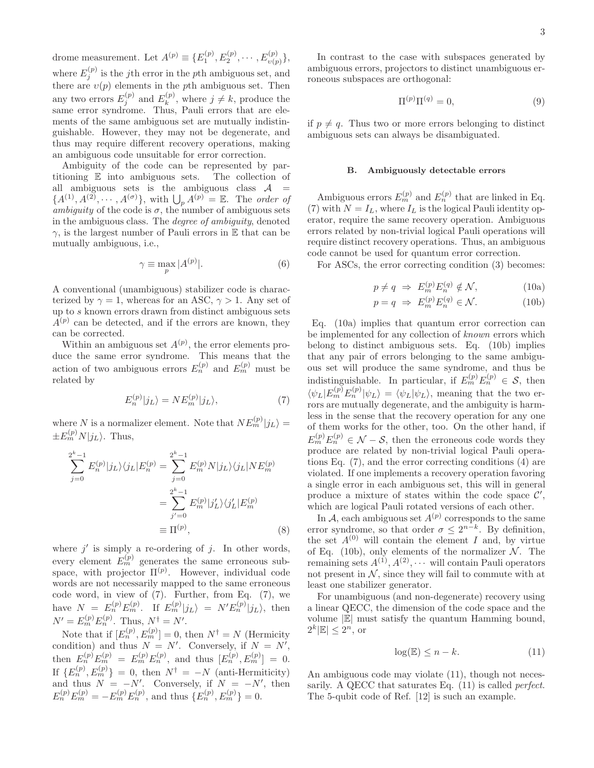drome measurement. Let  $A^{(p)} \equiv \{E_1^{(p)}, E_2^{(p)}, \cdots, E_{v(p)}^{(p)}\},\$ where  $E_j^{(p)}$  is the *j*th error in the *p*th ambiguous set, and there are  $v(p)$  elements in the pth ambiguous set. Then any two errors  $E_j^{(p)}$  and  $E_k^{(p)}$  $\mathbf{k}^{(p)}$ , where  $j \neq k$ , produce the same error syndrome. Thus, Pauli errors that are elements of the same ambiguous set are mutually indistinguishable. However, they may not be degenerate, and thus may require different recovery operations, making an ambiguous code unsuitable for error correction.

Ambiguity of the code can be represented by partitioning E into ambiguous sets. The collection of all ambiguous sets is the ambiguous class  $A =$  ${A^{(1)}, A^{(2)}, \cdots, A^{(\sigma)}}$ , with  $\bigcup_{p} A^{(p)} = \mathbb{E}$ . The order of ambiguity of the code is  $\sigma$ , the number of ambiguous sets in the ambiguous class. The degree of ambiguity, denoted  $\gamma$ , is the largest number of Pauli errors in E that can be mutually ambiguous, i.e.,

$$
\gamma \equiv \max_{p} |A^{(p)}|.
$$
 (6)

A conventional (unambiguous) stabilizer code is characterized by  $\gamma = 1$ , whereas for an ASC,  $\gamma > 1$ . Any set of up to s known errors drawn from distinct ambiguous sets  $A^{(p)}$  can be detected, and if the errors are known, they can be corrected.

Within an ambiguous set  $A^{(p)}$ , the error elements produce the same error syndrome. This means that the action of two ambiguous errors  $E_n^{(p)}$  and  $E_m^{(p)}$  must be related by

$$
E_n^{(p)}|j_L\rangle = NE_m^{(p)}|j_L\rangle,\tag{7}
$$

where N is a normalizer element. Note that  $NE_{m}^{(p)}|j_{L}\rangle =$  $\pm E_m^{(p)} N |j_L\rangle$ . Thus,

$$
\sum_{j=0}^{2^{k}-1} E_{n}^{(p)}|j_{L}\rangle\langle j_{L}|E_{n}^{(p)} = \sum_{j=0}^{2^{k}-1} E_{m}^{(p)}N|j_{L}\rangle\langle j_{L}|NE_{m}^{(p)} \n= \sum_{j'=0}^{2^{k}-1} E_{m}^{(p)}|j'_{L}\rangle\langle j'_{L}|E_{m}^{(p)} \n\equiv \Pi^{(p)},
$$
\n(8)

where  $j'$  is simply a re-ordering of  $j$ . In other words, every element  $E_m^{(p)}$  generates the same erroneous subspace, with projector  $\Pi^{(p)}$ . However, individual code words are not necessarily mapped to the same erroneous code word, in view of (7). Further, from Eq. (7), we have  $N = E_n^{(p)} E_m^{(p)}$ . If  $E_m^{(p)} |j_L\rangle = N' E_n^{(p)} |j_L\rangle$ , then  $N' = E_m^{(p)} E_n^{(p)}$ . Thus,  $N^{\dagger} = N'$ .

Note that if  $[E_n^{(p)}, E_m^{(p)}] = 0$ , then  $N^{\dagger} = N$  (Hermicity condition) and thus  $N = N'$ . Conversely, if  $N = N'$ , then  $E_n^{(p)}E_m^{(p)} = E_m^{(p)}E_n^{(p)},$  and thus  $[E_n^{(p)}, E_m^{(p)}] = 0.$ If  ${E_n^{(p)}, E_m^{(p)} } = 0$ , then  $N^{\dagger} = -N$  (anti-Hermiticity) and thus  $N = -N'$ . Conversely, if  $N = -N'$ , then  $E_n^{(p)}E_m^{(p)} = -E_m^{(p)}E_n^{(p)},$  and thus  $\{E_n^{(p)}, E_m^{(p)}\} = 0.$ 

In contrast to the case with subspaces generated by ambiguous errors, projectors to distinct unambiguous erroneous subspaces are orthogonal:

$$
\Pi^{(p)}\Pi^{(q)} = 0,\t\t(9)
$$

if  $p \neq q$ . Thus two or more errors belonging to distinct ambiguous sets can always be disambiguated.

### B. Ambiguously detectable errors

Ambiguous errors  $E_m^{(p)}$  and  $E_n^{(p)}$  that are linked in Eq. (7) with  $N = I_L$ , where  $I_L$  is the logical Pauli identity operator, require the same recovery operation. Ambiguous errors related by non-trivial logical Pauli operations will require distinct recovery operations. Thus, an ambiguous code cannot be used for quantum error correction.

For ASCs, the error correcting condition (3) becomes:

$$
p \neq q \implies E_m^{(p)} E_n^{(q)} \notin \mathcal{N}, \tag{10a}
$$

$$
p = q \implies E_m^{(p)} E_n^{(q)} \in \mathcal{N}.
$$
 (10b)

Eq. (10a) implies that quantum error correction can be implemented for any collection of known errors which belong to distinct ambiguous sets. Eq. (10b) implies that any pair of errors belonging to the same ambiguous set will produce the same syndrome, and thus be indistinguishable. In particular, if  $E_m^{(p)} E_n^{(p)} \in S$ , then  $\langle \psi_L | E_m^{(p)} E_n^{(p)} | \psi_L \rangle = \langle \psi_L | \psi_L \rangle$ , meaning that the two errors are mutually degenerate, and the ambiguity is harmless in the sense that the recovery operation for any one of them works for the other, too. On the other hand, if  $E_m^{(p)} E_n^{(p)} \in \mathcal{N} - \mathcal{S}$ , then the erroneous code words they produce are related by non-trivial logical Pauli operations Eq. (7), and the error correcting conditions (4) are violated. If one implements a recovery operation favoring a single error in each ambiguous set, this will in general produce a mixture of states within the code space  $\mathcal{C}'$ , which are logical Pauli rotated versions of each other.

In A, each ambiguous set  $A^{(p)}$  corresponds to the same error syndrome, so that order  $\sigma \leq 2^{n-k}$ . By definition, the set  $A^{(0)}$  will contain the element I and, by virtue of Eq. (10b), only elements of the normalizer  $\mathcal N$ . The remaining sets  $A^{(1)}, A^{(2)}, \cdots$  will contain Pauli operators not present in  $N$ , since they will fail to commute with at least one stabilizer generator.

For unambiguous (and non-degenerate) recovery using a linear QECC, the dimension of the code space and the volume <sup>|</sup>E<sup>|</sup> must satisfy the quantum Hamming bound,  $2^k |\mathbb{E}| \leq 2^n$ , or

$$
\log(\mathbb{E}) \le n - k. \tag{11}
$$

An ambiguous code may violate (11), though not necessarily. A QECC that saturates Eq. (11) is called *perfect*. The 5-qubit code of Ref. [12] is such an example.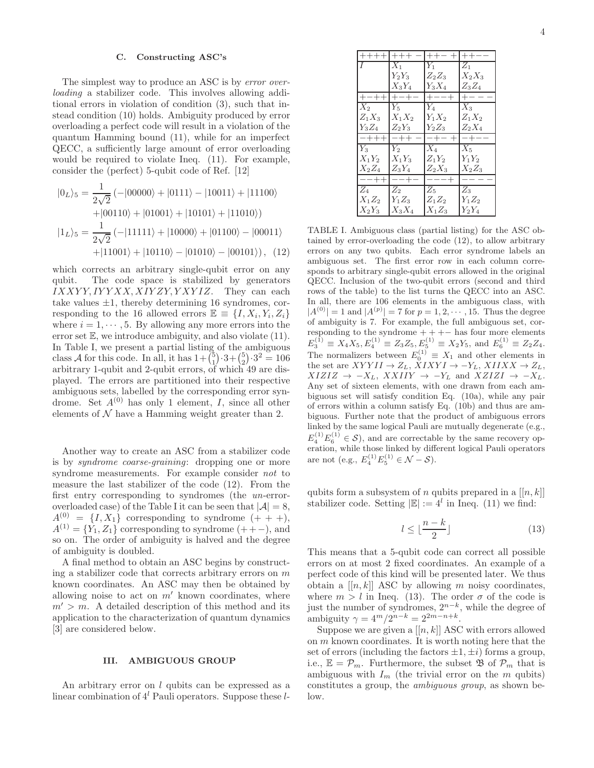### C. Constructing ASC's

The simplest way to produce an ASC is by *error over*loading a stabilizer code. This involves allowing additional errors in violation of condition (3), such that instead condition (10) holds. Ambiguity produced by error overloading a perfect code will result in a violation of the quantum Hamming bound (11), while for an imperfect QECC, a sufficiently large amount of error overloading would be required to violate Ineq. (11). For example, consider the (perfect) 5-qubit code of Ref. [12]

$$
|0_L\rangle_5 = \frac{1}{2\sqrt{2}} \left(-|00000\rangle + |0111\rangle - |10011\rangle + |11100\rangle + |00110\rangle + |01001\rangle + |10101\rangle + |11010\rangle + |11010\rangle\right)
$$
  

$$
|1_L\rangle_5 = \frac{1}{2\sqrt{2}} \left(-|11111\rangle + |10000\rangle + |01100\rangle - |00011\rangle + |11001\rangle + |10110\rangle - |01010\rangle - |00101\rangle\right), (12)
$$

which corrects an arbitrary single-qubit error on any qubit. The code space is stabilized by generators  $IXXYY, IYYXX, XIYZY, YXYIZ.$  They can each take values  $\pm 1$ , thereby determining 16 syndromes, corresponding to the 16 allowed errors  $\mathbb{E} \equiv \{I, X_i, Y_i, Z_i\}$ where  $i = 1, \dots, 5$ . By allowing any more errors into the error set  $E$ , we introduce ambiguity, and also violate  $(11)$ . In Table I, we present a partial listing of the ambiguous class A for this code. In all, it has  $1 + {5 \choose 1} \cdot 3 + {5 \choose 2} \cdot 3^2 = 106$ arbitrary 1-qubit and 2-qubit errors, of which 49 are displayed. The errors are partitioned into their respective ambiguous sets, labelled by the corresponding error syndrome. Set  $A^{(0)}$  has only 1 element, I, since all other elements of  $N$  have a Hamming weight greater than 2.

Another way to create an ASC from a stabilizer code is by syndrome coarse-graining: dropping one or more syndrome measurements. For example consider not to measure the last stabilizer of the code (12). From the first entry corresponding to syndromes (the un-erroroverloaded case) of the Table I it can be seen that  $|\mathcal{A}| = 8$ ,  $A^{(0)} = \{I, X_1\}$  corresponding to syndrome  $(+ + +),$  $A^{(1)} = {\tilde{Y}_1, Z_1}$  corresponding to syndrome (++−), and so on. The order of ambiguity is halved and the degree of ambiguity is doubled.

A final method to obtain an ASC begins by constructing a stabilizer code that corrects arbitrary errors on  $m$ known coordinates. An ASC may then be obtained by allowing noise to act on  $m'$  known coordinates, where  $m' > m$ . A detailed description of this method and its application to the characterization of quantum dynamics [3] are considered below.

### III. AMBIGUOUS GROUP

An arbitrary error on l qubits can be expressed as a linear combination of  $4^l$  Pauli operators. Suppose these  $l$ -

| I                | $X_1$    | $Y_1$    | $Z_1$    |
|------------------|----------|----------|----------|
|                  | $Y_2Y_3$ | $Z_2Z_3$ | $X_2X_3$ |
|                  | $X_3Y_4$ | $Y_3X_4$ | $Z_3Z_4$ |
| $+-$             |          | $\! +$   |          |
| $\overline{X}_2$ | $Y_5$    | $Y_4$    | $X_3$    |
| $Z_1X_3$         | $X_1X_2$ | $Y_1X_2$ | $Z_1X_2$ |
| $Y_3Z_4$         | $Z_2Y_3$ | $Y_2Z_3$ | $Z_2X_4$ |
| –<br>–+++        |          |          |          |
| $\overline{Y_3}$ | $Y_2$    | $X_4$    | $X_5$    |
| $X_1Y_2$         | $X_1Y_3$ | $Z_1Y_2$ | $Y_1Y_2$ |
| $X_2Z_4$         | $Z_3Y_4$ | $Z_2X_3$ | $X_2Z_3$ |
|                  |          |          |          |

 $X_1Z_2$ 

TABLE I. Ambiguous class (partial listing) for the ASC obtained by error-overloading the code (12), to allow arbitrary errors on any two qubits. Each error syndrome labels an ambiguous set. The first error row in each column corresponds to arbitrary single-qubit errors allowed in the original QECC. Inclusion of the two-qubit errors (second and third rows of the table) to the list turns the QECC into an ASC. In all, there are 106 elements in the ambiguous class, with  $|A^{(0)}| = 1$  and  $|A^{(p)}| = 7$  for  $p = 1, 2, \dots, 15$ . Thus the degree of ambiguity is 7. For example, the full ambiguous set, corresponding to the syndrome  $++--$  has four more elements  $E_3^{(1)} \equiv X_4 X_5, E_4^{(1)} \equiv Z_3 Z_5, E_5^{(1)} \equiv X_2 Y_5$ , and  $E_6^{(1)} \equiv Z_2 Z_4$ . The normalizers between  $E_0^{(1)} \equiv X_1$  and other elements in the set are  $XYYII \rightarrow Z_L$ ,  $XIXYI \rightarrow -Y_L$ ,  $XIIXX \rightarrow Z_L$ ,  $XIZIZ \rightarrow -X_L$ ,  $XXIIY \rightarrow -Y_L$  and  $XZIZI \rightarrow -X_L$ . Any set of sixteen elements, with one drawn from each ambiguous set will satisfy condition Eq. (10a), while any pair of errors within a column satisfy Eq. (10b) and thus are ambiguous. Further note that the product of ambiguous errors linked by the same logical Pauli are mutually degenerate (e.g.,  $E_4^{(1)}E_6^{(1)} \in \mathcal{S}$ , and are correctable by the same recovery operation, while those linked by different logical Pauli operators are not (e.g.,  $E_4^{(1)}E_5^{(1)} \in \mathcal{N} - \mathcal{S}$ ).

 $\begin{array}{cc} Z_4 \ \hline X_1 Z_2 \ \hline Y_1 Z_3 \ \end{array} \begin{array}{cc} Z_5 \ \hline Z_1 Z_2 \ \end{array} \begin{array}{cc} Z_3 \ \hline Z_1 Z_2 \ \end{array} \begin{array}{cc} Z_3 \ \hline Y_1 Z_2 \ \end{array}$ 

 $X_2Y_3$  |  $X_3X_4$  |  $X_1Z_3$  |  $Y_2Y_4$ 

qubits form a subsystem of n qubits prepared in a  $[[n, k]]$ stabilizer code. Setting  $|\mathbb{E}| := 4^l$  in Ineq. (11) we find:

$$
l \le \lfloor \frac{n-k}{2} \rfloor \tag{13}
$$

This means that a 5-qubit code can correct all possible errors on at most 2 fixed coordinates. An example of a perfect code of this kind will be presented later. We thus obtain a  $[[n, k]]$  ASC by allowing m noisy coordinates, where  $m > l$  in Ineq. (13). The order  $\sigma$  of the code is just the number of syndromes,  $2^{n-k}$ , while the degree of ambiguity  $\gamma = 4^m / 2^{n-k} = 2^{2m-n+k}$ .

Suppose we are given a  $[[n, k]]$  ASC with errors allowed on  $m$  known coordinates. It is worth noting here that the set of errors (including the factors  $\pm 1, \pm i$ ) forms a group, i.e.,  $\mathbb{E} = \mathcal{P}_m$ . Furthermore, the subset  $\mathfrak{B}$  of  $\mathcal{P}_m$  that is ambiguous with  $I_m$  (the trivial error on the m qubits) constitutes a group, the ambiguous group, as shown below.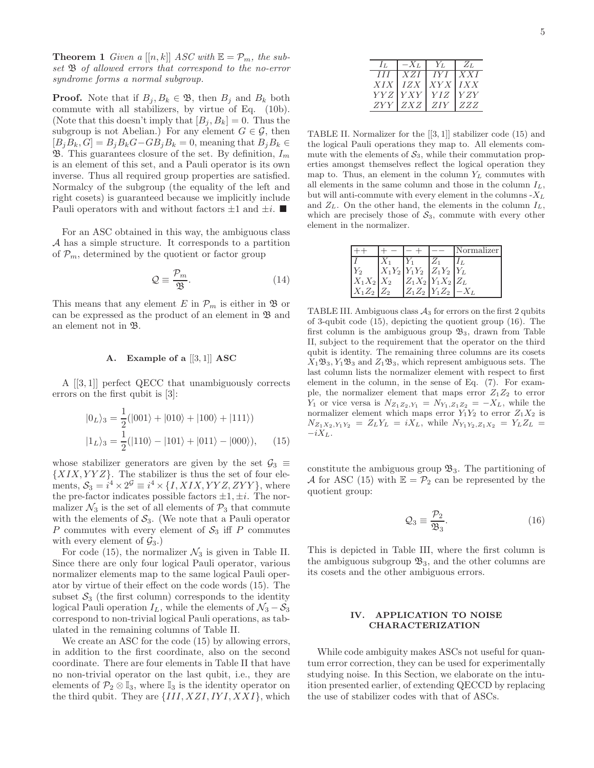**Theorem 1** Given a  $[[n, k]]$  ASC with  $\mathbb{E} = \mathcal{P}_m$ , the subset  $\mathfrak B$  of allowed errors that correspond to the no-error syndrome forms a normal subgroup.

**Proof.** Note that if  $B_j, B_k \in \mathfrak{B}$ , then  $B_j$  and  $B_k$  both commute with all stabilizers, by virtue of Eq. (10b). (Note that this doesn't imply that  $[B_j, B_k] = 0$ . Thus the subgroup is not Abelian.) For any element  $G \in \mathcal{G}$ , then  $[B_iB_k, G] = B_iB_kG - GB_jB_k = 0$ , meaning that  $B_iB_k \in$  $\mathfrak{B}$ . This guarantees closure of the set. By definition,  $I_m$ is an element of this set, and a Pauli operator is its own inverse. Thus all required group properties are satisfied. Normalcy of the subgroup (the equality of the left and right cosets) is guaranteed because we implicitly include Pauli operators with and without factors  $\pm 1$  and  $\pm i$ .

For an ASC obtained in this way, the ambiguous class A has a simple structure. It corresponds to a partition of  $\mathcal{P}_m$ , determined by the quotient or factor group

$$
\mathcal{Q} \equiv \frac{\mathcal{P}_m}{\mathfrak{B}}.\tag{14}
$$

This means that any element E in  $\mathcal{P}_m$  is either in  $\mathfrak{B}$  or can be expressed as the product of an element in  $\mathfrak B$  and an element not in B.

### A. Example of a  $[[3,1]]$  ASC

A [[3, 1]] perfect QECC that unambiguously corrects errors on the first qubit is [3]:

$$
|0_L\rangle_3 = \frac{1}{2}(|001\rangle + |010\rangle + |100\rangle + |111\rangle)
$$
  

$$
|1_L\rangle_3 = \frac{1}{2}(|110\rangle - |101\rangle + |011\rangle - |000\rangle), \qquad (15)
$$

whose stabilizer generators are given by the set  $\mathcal{G}_3 \equiv$  ${XIX,YYZ}.$  The stabilizer is thus the set of four elements,  $S_3 = i^4 \times 2^{\mathcal{G}} \equiv i^4 \times \{I, XIX, YYZ, ZYY\}$ , where the pre-factor indicates possible factors  $\pm 1, \pm i$ . The normalizer  $\mathcal{N}_3$  is the set of all elements of  $\mathcal{P}_3$  that commute with the elements of  $S_3$ . (We note that a Pauli operator P commutes with every element of  $S_3$  iff P commutes with every element of  $\mathcal{G}_3$ .)

For code (15), the normalizer  $\mathcal{N}_3$  is given in Table II. Since there are only four logical Pauli operator, various normalizer elements map to the same logical Pauli operator by virtue of their effect on the code words (15). The subset  $S_3$  (the first column) corresponds to the identity logical Pauli operation  $I_L$ , while the elements of  $\mathcal{N}_3 - \mathcal{S}_3$ correspond to non-trivial logical Pauli operations, as tabulated in the remaining columns of Table II.

We create an ASC for the code (15) by allowing errors, in addition to the first coordinate, also on the second coordinate. There are four elements in Table II that have no non-trivial operator on the last qubit, i.e., they are elements of  $\mathcal{P}_2 \otimes \mathbb{I}_3$ , where  $\mathbb{I}_3$  is the identity operator on the third qubit. They are  $\{III, XZI, IYI, XXI\}$ , which

|      |              | Yт               | $Z_{L}$ |
|------|--------------|------------------|---------|
| II   | X Z I        | -IY I            | X X I   |
| XIX  | <i>IZX</i>   | $XYX$ <i>IXX</i> |         |
| YY Z | <i>Y X Y</i> | YIZ              | Y Z Y   |
| ZYY  | ZXZ          | <i>ZIY</i>       | ZZZ     |

TABLE II. Normalizer for the [[3, 1]] stabilizer code (15) and the logical Pauli operations they map to. All elements commute with the elements of  $S_3$ , while their commutation properties amongst themselves reflect the logical operation they map to. Thus, an element in the column  $Y_L$  commutes with all elements in the same column and those in the column  $I_L$ , but will anti-commute with every element in the columns  $-X_L$ and  $Z_L$ . On the other hand, the elements in the column  $I_L$ , which are precisely those of  $S_3$ , commute with every other element in the normalizer.

|                |                            | Normalizer |
|----------------|----------------------------|------------|
|                |                            |            |
|                | $X_1Y_2 Y_1Y_2 Z_1Y_2 Y_L$ |            |
| $X_1X_2 X_2$   | $Z_1X_2 Y_1X_2 Z_L$        |            |
| $X_1Z_2$ $Z_2$ | $ Z_1Z_2 Y_1Z_2  - X_L$    |            |

TABLE III. Ambiguous class  $A_3$  for errors on the first 2 qubits of 3-qubit code (15), depicting the quotient group (16). The first column is the ambiguous group  $\mathfrak{B}_3$ , drawn from Table II, subject to the requirement that the operator on the third qubit is identity. The remaining three columns are its cosets  $X_1\mathfrak{B}_3, Y_1\mathfrak{B}_3$  and  $Z_1\mathfrak{B}_3$ , which represent ambiguous sets. The last column lists the normalizer element with respect to first element in the column, in the sense of Eq. (7). For example, the normalizer element that maps error  $Z_1Z_2$  to error Y<sub>1</sub> or vice versa is  $N_{Z_1Z_2,Y_1} = N_{Y_1,Z_1Z_2} = -X_L$ , while the normalizer element which maps error  $Y_1Y_2$  to error  $Z_1X_2$  is  $N_{Z_1X_2,Y_1Y_2} = Z_LY_L = iX_L$ , while  $N_{Y_1Y_2,Z_1X_2} = Y_LZ_L =$  $-iX_L$ .

constitute the ambiguous group  $\mathfrak{B}_3$ . The partitioning of A for ASC (15) with  $\mathbb{E} = \mathcal{P}_2$  can be represented by the quotient group:

$$
\mathcal{Q}_3 \equiv \frac{\mathcal{P}_2}{\mathfrak{B}_3}.\tag{16}
$$

This is depicted in Table III, where the first column is the ambiguous subgroup  $\mathfrak{B}_3$ , and the other columns are its cosets and the other ambiguous errors.

# IV. APPLICATION TO NOISE CHARACTERIZATION

While code ambiguity makes ASCs not useful for quantum error correction, they can be used for experimentally studying noise. In this Section, we elaborate on the intuition presented earlier, of extending QECCD by replacing the use of stabilizer codes with that of ASCs.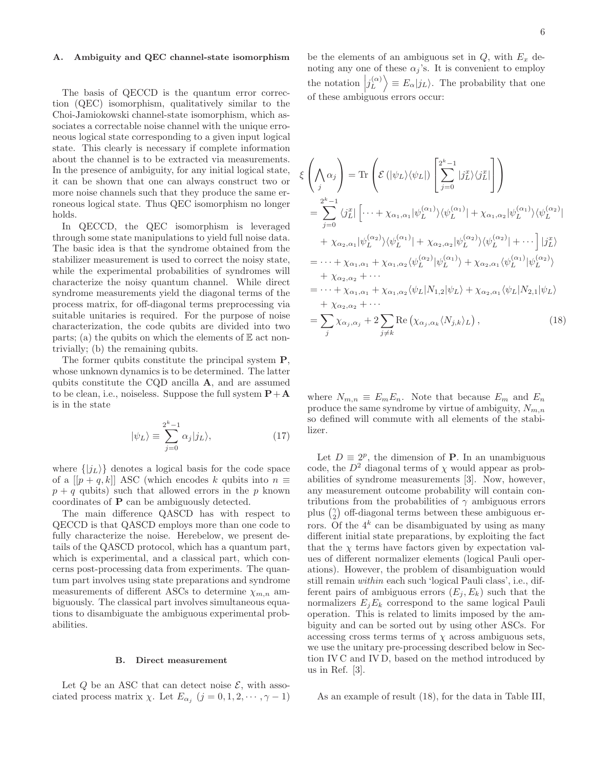#### A. Ambiguity and QEC channel-state isomorphism

The basis of QECCD is the quantum error correction (QEC) isomorphism, qualitatively similar to the Choi-Jamiokowski channel-state isomorphism, which associates a correctable noise channel with the unique erroneous logical state corresponding to a given input logical state. This clearly is necessary if complete information about the channel is to be extracted via measurements. In the presence of ambiguity, for any initial logical state, it can be shown that one can always construct two or more noise channels such that they produce the same erroneous logical state. Thus QEC isomorphism no longer holds.

ξ

In QECCD, the QEC isomorphism is leveraged through some state manipulations to yield full noise data. The basic idea is that the syndrome obtained from the stabilizer measurement is used to correct the noisy state, while the experimental probabilities of syndromes will characterize the noisy quantum channel. While direct syndrome measurements yield the diagonal terms of the process matrix, for off-diagonal terms preprocessing via suitable unitaries is required. For the purpose of noise characterization, the code qubits are divided into two parts; (a) the qubits on which the elements of  $E$  act nontrivially; (b) the remaining qubits.

The former qubits constitute the principal system P, whose unknown dynamics is to be determined. The latter qubits constitute the CQD ancilla A, and are assumed to be clean, i.e., noiseless. Suppose the full system  $P+A$ is in the state

$$
|\psi_L\rangle \equiv \sum_{j=0}^{2^k - 1} \alpha_j |j_L\rangle, \qquad (17)
$$

where  $\{|j_L\rangle\}$  denotes a logical basis for the code space of a  $[[p+q,k]]$  ASC (which encodes k qubits into  $n \equiv$  $p + q$  qubits) such that allowed errors in the p known coordinates of P can be ambiguously detected.

The main difference QASCD has with respect to QECCD is that QASCD employs more than one code to fully characterize the noise. Herebelow, we present details of the QASCD protocol, which has a quantum part, which is experimental, and a classical part, which concerns post-processing data from experiments. The quantum part involves using state preparations and syndrome measurements of different ASCs to determine  $\chi_{m,n}$  ambiguously. The classical part involves simultaneous equations to disambiguate the ambiguous experimental probabilities.

### B. Direct measurement

Let  $Q$  be an ASC that can detect noise  $\mathcal{E}$ , with associated process matrix  $\chi$ . Let  $E_{\alpha_j}$   $(j = 0, 1, 2, \dots, \gamma - 1)$ 

be the elements of an ambiguous set in  $Q$ , with  $E_x$  denoting any one of these  $\alpha_j$ 's. It is convenient to employ the notation  $\left|j_L^{(\alpha)}\right\rangle \equiv E_\alpha|j_L\rangle$ . The probability that one of these ambiguous errors occur:

$$
\begin{split}\n&\left(\bigwedge_{j} \alpha_{j}\right) = \text{Tr}\left(\mathcal{E}\left(|\psi_{L}\rangle\langle\psi_{L}|\right)\left[\sum_{j=0}^{2^{k}-1}|j_{L}^{x}\rangle\langle j_{L}^{x}|\right]\right) \\
&= \sum_{j=0}^{2^{k}-1}\langle j_{L}^{x}|\left[\cdots+\chi_{\alpha_{1},\alpha_{1}}|\psi_{L}^{(\alpha_{1})}\rangle\langle\psi_{L}^{(\alpha_{1})}|+\chi_{\alpha_{1},\alpha_{2}}|\psi_{L}^{(\alpha_{1})}\rangle\langle\psi_{L}^{(\alpha_{2})}| \\
&+\chi_{\alpha_{2},\alpha_{1}}|\psi_{L}^{(\alpha_{2})}\rangle\langle\psi_{L}^{(\alpha_{1})}|+\chi_{\alpha_{2},\alpha_{2}}|\psi_{L}^{(\alpha_{2})}\rangle\langle\psi_{L}^{(\alpha_{2})}|+\cdots\left]|j_{L}^{x}\right\rangle \\
&= \cdots+\chi_{\alpha_{1},\alpha_{1}}+\chi_{\alpha_{1},\alpha_{2}}\langle\psi_{L}^{(\alpha_{2})}|\psi_{L}^{(\alpha_{1})}\rangle+\chi_{\alpha_{2},\alpha_{1}}\langle\psi_{L}^{(\alpha_{1})}|\psi_{L}^{(\alpha_{2})}\rangle \\
&+\chi_{\alpha_{2},\alpha_{2}}+\cdots \\
&= \cdots+\chi_{\alpha_{1},\alpha_{1}}+\chi_{\alpha_{1},\alpha_{2}}\langle\psi_{L}|N_{1,2}|\psi_{L}\rangle+\chi_{\alpha_{2},\alpha_{1}}\langle\psi_{L}|N_{2,1}|\psi_{L}\rangle \\
&+\chi_{\alpha_{2},\alpha_{2}}+\cdots \\
&= \sum_{j}\chi_{\alpha_{j},\alpha_{j}}+2\sum_{j\neq k}\text{Re}\left(\chi_{\alpha_{j},\alpha_{k}}\langle N_{j,k}\rangle_{L}\right),\n\end{split} \tag{18}
$$

where  $N_{m,n} \equiv E_m E_n$ . Note that because  $E_m$  and  $E_n$ produce the same syndrome by virtue of ambiguity,  $N_{m,n}$ so defined will commute with all elements of the stabilizer.

Let  $D \equiv 2^p$ , the dimension of **P**. In an unambiguous code, the  $D^2$  diagonal terms of  $\chi$  would appear as probabilities of syndrome measurements [3]. Now, however, any measurement outcome probability will contain contributions from the probabilities of  $\gamma$  ambiguous errors plus  $\binom{1}{2}$  $\binom{\gamma}{2}$  off-diagonal terms between these ambiguous errors. Of the  $4^k$  can be disambiguated by using as many different initial state preparations, by exploiting the fact that the  $\chi$  terms have factors given by expectation values of different normalizer elements (logical Pauli operations). However, the problem of disambiguation would still remain within each such 'logical Pauli class', i.e., different pairs of ambiguous errors  $(E_j, E_k)$  such that the normalizers  $E_j E_k$  correspond to the same logical Pauli operation. This is related to limits imposed by the ambiguity and can be sorted out by using other ASCs. For accessing cross terms terms of  $\chi$  across ambiguous sets, we use the unitary pre-processing described below in Section IV C and IV D, based on the method introduced by us in Ref. [3].

As an example of result (18), for the data in Table III,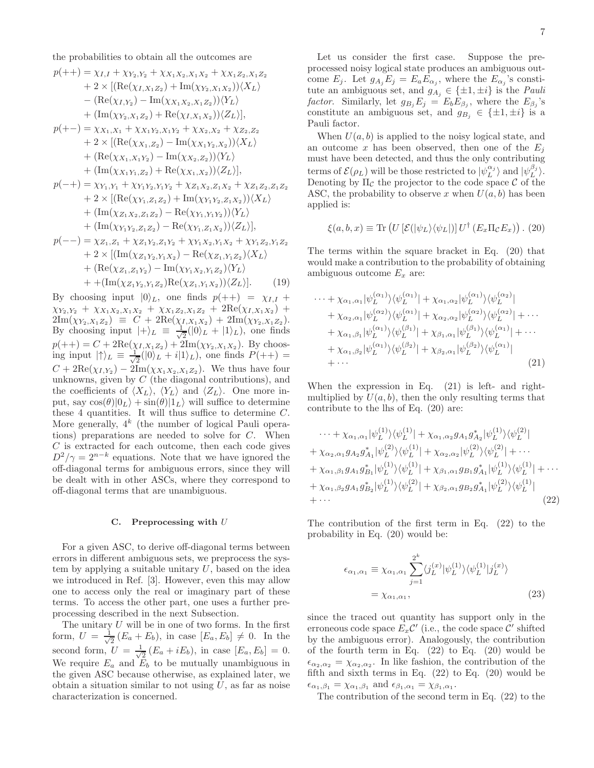the probabilities to obtain all the outcomes are

$$
p(++) = \chi_{I,I} + \chi_{Y_2,Y_2} + \chi_{X_1X_2,X_1X_2} + \chi_{X_1Z_2,X_1Z_2}
$$
  
+ 2 × [(Re( $\chi_{I,X_1Z_2}$ ) + Im( $\chi_{Y_2,X_1X_2}$ )) $\langle X_L \rangle$   
- (Re( $\chi_{I,Y_2}$ ) - Im( $\chi_{X_1X_2,X_1Z_2}$ )) $\langle Y_L \rangle$   
+ (Im( $\chi_{Y_2,X_1Z_2}$ ) + Re( $\chi_{I,X_1X_2}$ )) $\langle Z_L \rangle$ ],  

$$
p(+-) = \chi_{X_1,X_1} + \chi_{X_1Y_2,X_1Y_2} + \chi_{X_2,X_2} + \chi_{Z_2,Z_2}
$$
  
+ 2 × [(Re( $\chi_{X_1,Z_2}$ ) - Im( $\chi_{X_1Y_2,X_2}$ )) $\langle Y_L \rangle$   
+ (Re( $\chi_{X_1,X_1Y_2}$ ) - Im( $\chi_{X_2,Z_2}$ )) $\langle Y_L \rangle$   
+ (Im( $\chi_{X_1Y_1,Z_2}$ ) + Re( $\chi_{X_1,X_2}$ )) $\langle Z_L \rangle$ ],

$$
p(-+) = \chi_{Y_1, Y_1} + \chi_{Y_1Y_2, Y_1Y_2} + \chi_{Z_1X_2, Z_1X_2} + \chi_{Z_1Z_2, Z_1Z_2}
$$
  
+ 2 × [(Re( $\chi_{Y_1, Z_1Z_2}$ ) + Im( $\chi_{Y_1Y_2, Z_1X_2}$ )) $\langle X_L \rangle$   
+ (Im( $\chi_{Z_1X_2, Z_1Z_2}$ ) - Re( $\chi_{Y_1, Y_1Y_2}$ )) $\langle Y_L \rangle$   
+ (Im( $\chi_{Y_1Y_2, Z_1Z_2}$ ) - Re( $\chi_{Y_1, Z_1X_2}$ )) $\langle Z_L \rangle$ ],

$$
p(--) = \chi_{Z_1, Z_1} + \chi_{Z_1 Y_2, Z_1 Y_2} + \chi_{Y_1 X_2, Y_1 X_2} + \chi_{Y_1 Z_2, Y_1 Z_2} + 2 \times \left[ (\text{Im}(\chi_{Z_1 Y_2, Y_1 X_2}) - \text{Re}(\chi_{Z_1, Y_1 Z_2}) \langle X_L \rangle + (\text{Re}(\chi_{Z_1, Z_1 Y_2}) - \text{Im}(\chi_{Y_1 X_2, Y_1 Z_2}) \langle Y_L \rangle + + (\text{Im}(\chi_{Z_1 Y_2, Y_1 Z_2}) \text{Re}(\chi_{Z_1, Y_1 X_2})) \langle Z_L \rangle \right].
$$
 (19)

By choosing input  $|0\rangle_L$ , one finds  $p(++) = \chi_{I,I}$  +  $\chi_{Y_2,Y_2} + \chi_{X_1X_2,X_1X_2} + \chi_{X_1Z_2,X_1Z_2} + 2\text{Re}(\chi_{I,X_1X_2}) +$  $2\text{Im}(\chi_{Y_2,X_1Z_2}) \equiv C + 2\text{Re}(\chi_{I,X_1X_2}) + 2\text{Im}(\chi_{Y_2,X_1Z_2}).$ By choosing input  $|+\rangle_L \equiv \frac{1}{\sqrt{2}}$  $\frac{1}{2}(|0\rangle_L + |1\rangle_L)$ , one finds  $p(++) = C + 2\text{Re}(\chi_{I,X_1Z_2}) + 2\text{Im}(\chi_{Y_2,X_1X_2})$ . By choosing input  $|\!\uparrow\rangle_L \equiv \frac{1}{\sqrt{2}}$  $\frac{1}{2}(|0\rangle_L + i|1\rangle_L)$ , one finds  $P(++)$  =  $C + 2\text{Re}(\chi_{I,Y_2}) - 2\text{Im}(\chi_{X_1X_2,X_1Z_2})$ . We thus have four unknowns, given by C (the diagonal contributions), and the coefficients of  $\langle X_L \rangle$ ,  $\langle Y_L \rangle$  and  $\langle Z_L \rangle$ . One more input, say  $\cos(\theta)|0_L\rangle + \sin(\theta)|1_L\rangle$  will suffice to determine these 4 quantities. It will thus suffice to determine  $C$ . More generally,  $4^k$  (the number of logical Pauli operations) preparations are needed to solve for C. When C is extracted for each outcome, then each code gives  $D^2/\gamma = 2^{n-k}$  equations. Note that we have ignored the off-diagonal terms for ambiguous errors, since they will be dealt with in other ASCs, where they correspond to off-diagonal terms that are unambiguous.

# C. Preprocessing with  $U$

For a given ASC, to derive off-diagonal terms between errors in different ambiguous sets, we preprocess the system by applying a suitable unitary  $U$ , based on the idea we introduced in Ref. [3]. However, even this may allow one to access only the real or imaginary part of these terms. To access the other part, one uses a further preprocessing described in the next Subsection.

The unitary  $U$  will be in one of two forms. In the first form,  $U = \frac{1}{\sqrt{2}}$  $\frac{1}{2}(E_a + E_b)$ , in case  $[E_a, E_b] \neq 0$ . In the second form,  $U = \frac{1}{\sqrt{2}}$  $\frac{1}{2}(E_a + iE_b)$ , in case  $[E_a, E_b] = 0$ . We require  $E_a$  and  $\overline{E}_b$  to be mutually unambiguous in the given ASC because otherwise, as explained later, we obtain a situation similar to not using  $U$ , as far as noise characterization is concerned.

Let us consider the first case. Suppose the preprocessed noisy logical state produces an ambiguous outcome  $E_j$ . Let  $g_{A_j}E_j = E_a E_{\alpha_j}$ , where the  $E_{\alpha_j}$ 's constitute an ambiguous set, and  $g_{A_j} \in {\{\pm 1, \pm i\}}$  is the *Pauli* factor. Similarly, let  $g_{B_j}E_j = E_bE_{\beta_j}$ , where the  $E_{\beta_j}$ 's constitute an ambiguous set, and  $g_{B_i} \in {\pm 1, \pm i}$  is a Pauli factor.

When  $U(a, b)$  is applied to the noisy logical state, and an outcome x has been observed, then one of the  $E_i$ must have been detected, and thus the only contributing terms of  $\mathcal{E}(\rho_L)$  will be those restricted to  $|\psi_L^{\alpha_j}\rangle$  and  $|\psi_L^{\beta_j}\rangle$ . Denoting by  $\Pi_{\mathcal{C}}$  the projector to the code space  $\mathcal C$  of the ASC, the probability to observe x when  $U(a, b)$  has been applied is:

$$
\xi(a, b, x) \equiv \text{Tr}\left(U\left[\mathcal{E}(|\psi_L\rangle\langle\psi_L|)\right]U^{\dagger}\left(E_x \Pi_{\mathcal{C}} E_x\right)\right). (20)
$$

The terms within the square bracket in Eq. (20) that would make a contribution to the probability of obtaining ambiguous outcome  $E_x$  are:

$$
\cdots + \chi_{\alpha_1,\alpha_1} |\psi_L^{(\alpha_1)}\rangle \langle \psi_L^{(\alpha_1)}| + \chi_{\alpha_1,\alpha_2} |\psi_L^{(\alpha_1)}\rangle \langle \psi_L^{(\alpha_2)}| \n+ \chi_{\alpha_2,\alpha_1} |\psi_L^{(\alpha_2)}\rangle \langle \psi_L^{(\alpha_1)}| + \chi_{\alpha_2,\alpha_2} |\psi_L^{(\alpha_2)}\rangle \langle \psi_L^{(\alpha_2)}| + \cdots \n+ \chi_{\alpha_1,\beta_1} |\psi_L^{(\alpha_1)}\rangle \langle \psi_L^{(\beta_1)}| + \chi_{\beta_1,\alpha_1} |\psi_L^{(\beta_1)}\rangle \langle \psi_L^{(\alpha_1)}| + \cdots \n+ \chi_{\alpha_1,\beta_2} |\psi_L^{(\alpha_1)}\rangle \langle \psi_L^{(\beta_2)}| + \chi_{\beta_2,\alpha_1} |\psi_L^{(\beta_2)}\rangle \langle \psi_L^{(\alpha_1)}| \n+ \cdots
$$
\n(21)

When the expression in Eq. (21) is left- and rightmultiplied by  $U(a, b)$ , then the only resulting terms that contribute to the lhs of Eq. (20) are:

$$
\cdots + \chi_{\alpha_1,\alpha_1} |\psi_L^{(1)}\rangle \langle \psi_L^{(1)}| + \chi_{\alpha_1,\alpha_2} g_{A_1} g_{A_2}^* |\psi_L^{(1)}\rangle \langle \psi_L^{(2)}| + \chi_{\alpha_2,\alpha_1} g_{A_2} g_{A_1}^* |\psi_L^{(2)}\rangle \langle \psi_L^{(1)}| + \chi_{\alpha_2,\alpha_2} |\psi_L^{(2)}\rangle \langle \psi_L^{(2)}| + \cdots + \chi_{\alpha_1,\beta_1} g_{A_1} g_{B_1}^* |\psi_L^{(1)}\rangle \langle \psi_L^{(1)}| + \chi_{\beta_1,\alpha_1} g_{B_1} g_{A_1}^* |\psi_L^{(1)}\rangle \langle \psi_L^{(1)}| + \cdots + \chi_{\alpha_1,\beta_2} g_{A_1} g_{B_2}^* |\psi_L^{(1)}\rangle \langle \psi_L^{(2)}| + \chi_{\beta_2,\alpha_1} g_{B_2} g_{A_1}^* |\psi_L^{(2)}\rangle \langle \psi_L^{(1)}| + \cdots
$$
\n(22)

The contribution of the first term in Eq. (22) to the probability in Eq. (20) would be:

$$
\epsilon_{\alpha_1,\alpha_1} \equiv \chi_{\alpha_1,\alpha_1} \sum_{j=1}^{2^k} \langle j_L^{(x)} | \psi_L^{(1)} \rangle \langle \psi_L^{(1)} | j_L^{(x)} \rangle
$$
  
=  $\chi_{\alpha_1,\alpha_1}$ , (23)

since the traced out quantity has support only in the erroneous code space  $E_x \mathcal{C}'$  (i.e., the code space  $\mathcal{C}'$  shifted by the ambiguous error). Analogously, the contribution of the fourth term in Eq.  $(22)$  to Eq.  $(20)$  would be  $\epsilon_{\alpha_2,\alpha_2} = \chi_{\alpha_2,\alpha_2}$ . In like fashion, the contribution of the fifth and sixth terms in Eq.  $(22)$  to Eq.  $(20)$  would be  $\epsilon_{\alpha_1,\beta_1} = \chi_{\alpha_1,\beta_1}$  and  $\epsilon_{\beta_1,\alpha_1} = \chi_{\beta_1,\alpha_1}$ .

The contribution of the second term in Eq. (22) to the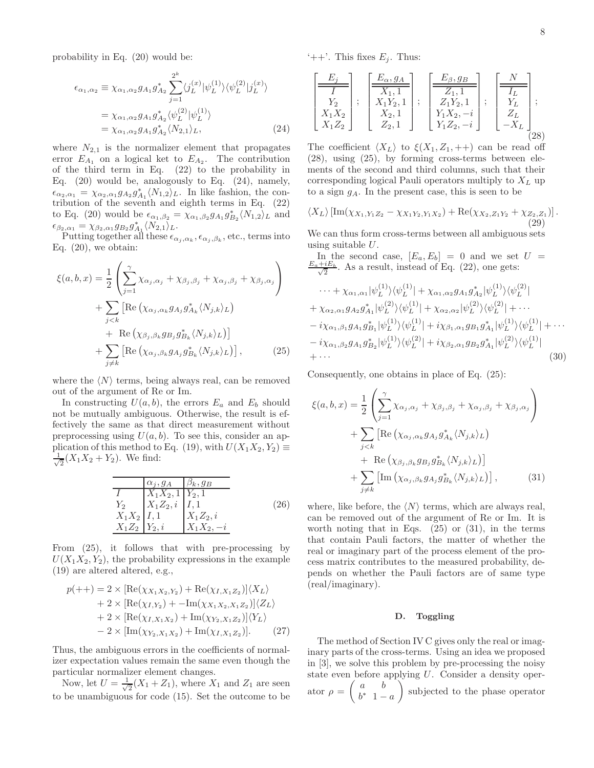probability in Eq. (20) would be:

$$
\epsilon_{\alpha_1, \alpha_2} \equiv \chi_{\alpha_1, \alpha_2} g_{A_1} g_{A_2}^* \sum_{j=1}^{2^k} \langle j_L^{(x)} | \psi_L^{(1)} \rangle \langle \psi_L^{(2)} | j_L^{(x)} \rangle
$$
  
=  $\chi_{\alpha_1, \alpha_2} g_{A_1} g_{A_2}^* \langle \psi_L^{(2)} | \psi_L^{(1)} \rangle$   
=  $\chi_{\alpha_1, \alpha_2} g_{A_1} g_{A_2}^* \langle N_{2,1} \rangle_L,$  (24)

where  $N_{2,1}$  is the normalizer element that propagates error  $E_{A_1}$  on a logical ket to  $E_{A_2}$ . The contribution of the third term in Eq. (22) to the probability in Eq.  $(20)$  would be, analogously to Eq.  $(24)$ , namely,  $\epsilon_{\alpha_2,\alpha_1} = \chi_{\alpha_2,\alpha_1} g_{A_2} g_{A_1}^* \langle N_{1,2} \rangle_L$ . In like fashion, the contribution of the seventh and eighth terms in Eq. (22) to Eq. (20) would be  $\epsilon_{\alpha_1,\beta_2} = \chi_{\alpha_1,\beta_2} g_{A_1} g_{B_2}^* \langle N_{1,2} \rangle_L$  and  $\epsilon_{\beta_2,\alpha_1} = \chi_{\beta_2,\alpha_1} g_{B_2} g_{A_1}^* \langle N_{2,1} \rangle_L.$ 

Putting together all these  $\epsilon_{\alpha_j,\alpha_k}, \epsilon_{\alpha_j,\beta_k}$ , etc., terms into Eq.  $(20)$ , we obtain:

$$
\xi(a, b, x) = \frac{1}{2} \left( \sum_{j=1}^{\gamma} \chi_{\alpha_j, \alpha_j} + \chi_{\beta_j, \beta_j} + \chi_{\alpha_j, \beta_j} + \chi_{\beta_j, \alpha_j} \right)
$$
  
+ 
$$
\sum_{j < k} \left[ \text{Re} \left( \chi_{\alpha_j, \alpha_k} g_{A_j} g_{A_k}^* \langle N_{j,k} \rangle_L \right) + \text{Re} \left( \chi_{\beta_j, \beta_k} g_{B_j} g_{B_k}^* \langle N_{j,k} \rangle_L \right) \right]
$$
  
+ 
$$
\sum_{j \neq k} \left[ \text{Re} \left( \chi_{\alpha_j, \beta_k} g_{A_j} g_{B_k}^* \langle N_{j,k} \rangle_L \right) \right], \tag{25}
$$

where the  $\langle N \rangle$  terms, being always real, can be removed out of the argument of Re or Im.

In constructing  $U(a, b)$ , the errors  $E_a$  and  $E_b$  should not be mutually ambiguous. Otherwise, the result is effectively the same as that direct measurement without preprocessing using  $U(a, b)$ . To see this, consider an application of this method to Eq. (19), with  $U(X_1X_2, Y_2) \equiv$ √ 1  $\frac{1}{2}(X_1X_2+Y_2)$ . We find:

$$
\begin{array}{c|c}\n\hline\n & \alpha_j, g_A & \beta_k, g_B \\
\hline\nI & X_1 X_2, 1 & Y_2, 1 \\
Y_2 & X_1 Z_2, i & I, 1 \\
X_1 X_2 & I, 1 & X_1 Z_2, i \\
X_1 Z_2 & Y_2, i & X_1 X_2, -i\n\end{array}
$$
\n(26)

From (25), it follows that with pre-processing by  $U(X_1X_2, Y_2)$ , the probability expressions in the example (19) are altered altered, e.g.,

$$
p(++) = 2 \times \left[ \text{Re}(\chi_{X_1 X_2, Y_2}) + \text{Re}(\chi_{I, X_1 Z_2}) \right] \langle X_L \rangle + 2 \times \left[ \text{Re}(\chi_{I, Y_2}) + -\text{Im}(\chi_{X_1 X_2, X_1 Z_2}) \right] \langle Z_L \rangle + 2 \times \left[ \text{Re}(\chi_{I, X_1 X_2}) + \text{Im}(\chi_{Y_2, X_1 Z_2}) \right] \langle Y_L \rangle - 2 \times \left[ \text{Im}(\chi_{Y_2, X_1 X_2}) + \text{Im}(\chi_{I, X_1 Z_2}) \right].
$$
 (27)

Thus, the ambiguous errors in the coefficients of normalizer expectation values remain the same even though the particular normalizer element changes.

Now, let  $U = \frac{1}{\sqrt{2}}$  $\frac{1}{2}(X_1+Z_1)$ , where  $X_1$  and  $Z_1$  are seen to be unambiguous for code (15). Set the outcome to be '++'. This fixes  $E_j$ . Thus:

$$
\begin{bmatrix} \frac{E_j}{I} \\ Y_2 \\ X_1 X_2 \\ X_1 Z_2 \end{bmatrix}; \begin{bmatrix} \frac{E_{\alpha}, g_A}{X_1, 1} \\ X_1 Y_2, 1 \\ X_2, 1 \\ Z_2, 1 \end{bmatrix}; \begin{bmatrix} \frac{E_{\beta}, g_B}{Z_1, 1} \\ Z_1 Y_2, 1 \\ Y_1 X_2, -i \\ Y_1 Z_2, -i \end{bmatrix}; \begin{bmatrix} \frac{N}{I_L} \\ Y_L \\ Z_L \\ -X_L \end{bmatrix};
$$
\n(28)

The coefficient  $\langle X_L \rangle$  to  $\xi(X_1, Z_1, ++)$  can be read off (28), using (25), by forming cross-terms between elements of the second and third columns, such that their corresponding logical Pauli operators multiply to  $X_L$  up to a sign  $g_A$ . In the present case, this is seen to be

$$
\langle X_L \rangle \left[ \mathrm{Im}(\chi_{X_1, Y_1 Z_2} - \chi_{X_1 Y_2, Y_1 X_2}) + \mathrm{Re}(\chi_{X_2, Z_1 Y_2} + \chi_{Z_2, Z_1}) \right]. \tag{29}
$$

We can thus form cross-terms between all ambiguous sets using suitable  $U$ .

In the second case, 
$$
[E_a, E_b] = 0
$$
 and we set  $U = \frac{E_a + iE_b}{\sqrt{2}}$ . As a result, instead of Eq. (22), one gets:  
\n $\cdots + \chi_{\alpha_1,\alpha_1} |\psi_L^{(1)}\rangle \langle \psi_L^{(1)}| + \chi_{\alpha_1,\alpha_2} g_{A_1} g_{A_2}^* |\psi_L^{(1)}\rangle \langle \psi_L^{(2)}|$   
\n $+ \chi_{\alpha_2,\alpha_1} g_{A_2} g_{A_1}^* |\psi_L^{(2)}\rangle \langle \psi_L^{(1)}| + \chi_{\alpha_2,\alpha_2} |\psi_L^{(2)}\rangle \langle \psi_L^{(2)}| + \cdots$   
\n $- i\chi_{\alpha_1,\beta_1} g_{A_1} g_{B_1}^* |\psi_L^{(1)}\rangle \langle \psi_L^{(1)}| + i\chi_{\beta_1,\alpha_1} g_{B_1} g_{A_1}^* |\psi_L^{(1)}\rangle \langle \psi_L^{(1)}| + \cdots$   
\n $- i\chi_{\alpha_1,\beta_2} g_{A_1} g_{B_2}^* |\psi_L^{(1)}\rangle \langle \psi_L^{(2)}| + i\chi_{\beta_2,\alpha_1} g_{B_2} g_{A_1}^* |\psi_L^{(2)}\rangle \langle \psi_L^{(1)}|$   
\n $+ \cdots$  (30)

Consequently, one obtains in place of Eq. (25):

$$
\xi(a,b,x) = \frac{1}{2} \left( \sum_{j=1}^{\gamma} \chi_{\alpha_j,\alpha_j} + \chi_{\beta_j,\beta_j} + \chi_{\alpha_j,\beta_j} + \chi_{\beta_j,\alpha_j} \right) + \sum_{j < k} \left[ \text{Re} \left( \chi_{\alpha_j,\alpha_k} g_{A_j} g_{A_k}^* \langle N_{j,k} \rangle_L \right) + \text{Re} \left( \chi_{\beta_j,\beta_k} g_{B_j} g_{B_k}^* \langle N_{j,k} \rangle_L \right) \right] + \sum_{j \neq k} \left[ \text{Im} \left( \chi_{\alpha_j,\beta_k} g_{A_j} g_{B_k}^* \langle N_{j,k} \rangle_L \right) \right], \tag{31}
$$

where, like before, the  $\langle N \rangle$  terms, which are always real, can be removed out of the argument of Re or Im. It is worth noting that in Eqs.  $(25)$  or  $(31)$ , in the terms that contain Pauli factors, the matter of whether the real or imaginary part of the process element of the process matrix contributes to the measured probability, depends on whether the Pauli factors are of same type (real/imaginary).

#### D. Toggling

The method of Section IV C gives only the real or imaginary parts of the cross-terms. Using an idea we proposed in [3], we solve this problem by pre-processing the noisy state even before applying U. Consider a density operator  $\rho = \begin{pmatrix} a & b \\ b^* & 1 \end{pmatrix}$  $b^*$  1 – a subjected to the phase operator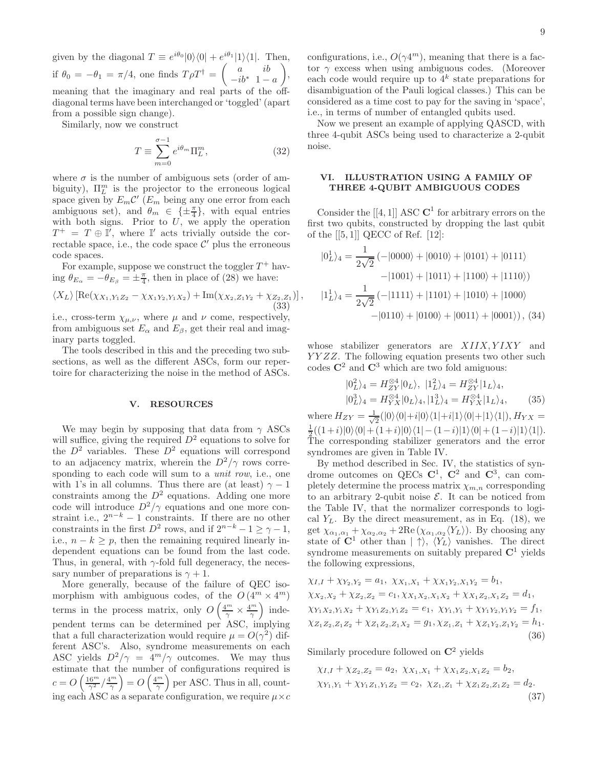given by the diagonal  $T \equiv e^{i\theta_0} |0\rangle\langle 0| + e^{i\theta_1} |1\rangle\langle 1|$ . Then, if  $\theta_0 = -\theta_1 = \pi/4$ , one finds  $T\rho T^{\dagger} = \begin{pmatrix} a & ib \\ -ib^* & 1 \end{pmatrix}$  $-ib^*$  1 – a  $\setminus$ , meaning that the imaginary and real parts of the offdiagonal terms have been interchanged or 'toggled' (apart from a possible sign change).

Similarly, now we construct

$$
T \equiv \sum_{m=0}^{\sigma - 1} e^{i\theta_m} \Pi_L^m,
$$
\n(32)

where  $\sigma$  is the number of ambiguous sets (order of ambiguity),  $\Pi_L^m$  is the projector to the erroneous logical space given by  $E_m \mathcal{C}'$  ( $E_m$  being any one error from each ambiguous set), and  $\theta_m \in {\pm \frac{\pi}{4}}$ , with equal entries with both signs. Prior to  $U$ , we apply the operation  $T^+ = T \oplus \mathbb{I}'$ , where  $\mathbb{I}'$  acts trivially outside the correctable space, i.e., the code space  $\mathcal{C}'$  plus the erroneous code spaces.

For example, suppose we construct the toggler  $T^+$  having  $\theta_{E_{\alpha}} = -\theta_{E_{\beta}} = \pm \frac{\pi}{4}$ , then in place of (28) we have:

$$
\langle X_L \rangle \left[ \text{Re}(\chi_{X_1, Y_1 Z_2} - \chi_{X_1 Y_2, Y_1 X_2}) + \text{Im}(\chi_{X_2, Z_1 Y_2} + \chi_{Z_2, Z_1}) \right],\tag{33}
$$

i.e., cross-term  $\chi_{\mu,\nu}$ , where  $\mu$  and  $\nu$  come, respectively, from ambiguous set  $E_{\alpha}$  and  $E_{\beta}$ , get their real and imaginary parts toggled.

The tools described in this and the preceding two subsections, as well as the different ASCs, form our repertoire for characterizing the noise in the method of ASCs.

#### V. RESOURCES

We may begin by supposing that data from  $\gamma$  ASCs will suffice, giving the required  $D^2$  equations to solve for the  $D^2$  variables. These  $D^2$  equations will correspond to an adjacency matrix, wherein the  $D^2/\gamma$  rows corresponding to each code will sum to a *unit row*, i.e., one with 1's in all columns. Thus there are (at least)  $\gamma - 1$ constraints among the  $D^2$  equations. Adding one more code will introduce  $D^2/\gamma$  equations and one more constraint i.e.,  $2^{n-k} - 1$  constraints. If there are no other constraints in the first  $D^2$  rows, and if  $2^{n-k} - 1 \ge \gamma - 1$ , i.e.,  $n - k \geq p$ , then the remaining required linearly independent equations can be found from the last code. Thus, in general, with  $\gamma$ -fold full degeneracy, the necessary number of preparations is  $\gamma + 1$ .

More generally, because of the failure of QEC isomorphism with ambiguous codes, of the  $O(4^m \times 4^m)$ terms in the process matrix, only  $O\left(\frac{4^m}{\gamma} \times \frac{4^m}{\gamma}\right)$  independent terms can be determined per ASC, implying that a full characterization would require  $\mu = O(\gamma^2)$  different ASC's. Also, syndrome measurements on each ASC yields  $D^2/\gamma = 4^m/\gamma$  outcomes. We may thus estimate that the number of configurations required is  $c = O\left(\frac{16^m}{\gamma^2}/\frac{4^m}{\gamma}\right) = O\left(\frac{4^m}{\gamma}\right)$  per ASC. Thus in all, counting each ASC as a separate configuration, we require  $\mu \times c$ 

configurations, i.e.,  $O(\gamma 4^m)$ , meaning that there is a factor  $\gamma$  excess when using ambiguous codes. (Moreover each code would require up to  $4^k$  state preparations for disambiguation of the Pauli logical classes.) This can be considered as a time cost to pay for the saving in 'space', i.e., in terms of number of entangled qubits used.

Now we present an example of applying QASCD, with three 4-qubit ASCs being used to characterize a 2-qubit noise.

# VI. ILLUSTRATION USING A FAMILY OF THREE 4-QUBIT AMBIGUOUS CODES

Consider the  $[[4,1]]$  ASC  $\mathbb{C}^1$  for arbitrary errors on the first two qubits, constructed by dropping the last qubit of the  $[[5,1]]$  QECC of Ref.  $[12]$ :

$$
|0_L^1\rangle_4 = \frac{1}{2\sqrt{2}} \left(-|0000\rangle + |0010\rangle + |0101\rangle + |0111\rangle \right.\n-|1001\rangle + |1011\rangle + |1100\rangle + |1110\rangle)\n|1_L^1\rangle_4 = \frac{1}{2\sqrt{2}} \left(-|1111\rangle + |1101\rangle + |1010\rangle + |1000\rangle \right.\n-|0110\rangle + |0100\rangle + |0011\rangle + |0001\rangle), (34)
$$

whose stabilizer generators are  $XIIX, YIXY$  and YYZZ. The following equation presents two other such codes  $\mathbb{C}^2$  and  $\mathbb{C}^3$  which are two fold amiguous:

$$
|0_L^2\rangle_4 = H_{ZY}^{\otimes 4} |0_L\rangle, |1_L^2\rangle_4 = H_{ZY}^{\otimes 4} |1_L\rangle_4, |0_L^3\rangle_4 = H_{YX}^{\otimes 4} |0_L\rangle_4, |1_L^3\rangle_4 = H_{YX}^{\otimes 4} |1_L\rangle_4, \tag{35}
$$

where  $H_{ZY} = \frac{1}{\sqrt{2}}$  $\frac{1}{2}(|0\rangle\langle0|+i|0\rangle\langle1|+i|1\rangle\langle0|+|1\rangle\langle1|), H_{YX} =$  $\frac{1}{2}((1+i)|0\rangle\langle 0|+(1+i)|0\rangle\langle 1|-(1-i)|1\rangle\langle 0|+(1-i)|1\rangle\langle 1|).$ The corresponding stabilizer generators and the error syndromes are given in Table IV.

By method described in Sec. IV, the statistics of syndrome outcomes on QECs  $C^1$ ,  $C^2$  and  $C^3$ , can completely determine the process matrix  $\chi_{m,n}$  corresponding to an arbitrary 2-qubit noise  $\mathcal{E}$ . It can be noticed from the Table IV, that the normalizer corresponds to logical  $Y_L$ . By the direct measurement, as in Eq. (18), we get  $\chi_{\alpha_1,\alpha_1} + \chi_{\alpha_2,\alpha_2} + 2\text{Re}(\chi_{\alpha_1,\alpha_2}\langle Y_L\rangle)$ . By choosing any state of  $\mathbb{C}^1$  other than  $|\uparrow\rangle$ ,  $\langle Y_L \rangle$  vanishes. The direct syndrome measurements on suitably prepared  $\mathbb{C}^1$  yields the following expressions,

$$
\chi_{I,I} + \chi_{Y_2,Y_2} = a_1, \ \chi_{X_1,X_1} + \chi_{X_1Y_2,X_1Y_2} = b_1,
$$
  
\n
$$
\chi_{X_2,X_2} + \chi_{Z_2,Z_2} = c_1, \chi_{X_1X_2,X_1X_2} + \chi_{X_1Z_2,X_1Z_2} = d_1,
$$
  
\n
$$
\chi_{Y_1X_2,Y_1X_2} + \chi_{Y_1Z_2,Y_1Z_2} = e_1, \ \chi_{Y_1,Y_1} + \chi_{Y_1Y_2,Y_1Y_2} = f_1,
$$
  
\n
$$
\chi_{Z_1Z_2,Z_1Z_2} + \chi_{Z_1Z_2,Z_1X_2} = g_1, \chi_{Z_1,Z_1} + \chi_{Z_1Y_2,Z_1Y_2} = h_1.
$$
  
\n(36)

Similarly procedure followed on  $\mathbb{C}^2$  yields

$$
\chi_{I,I} + \chi_{Z_2, Z_2} = a_2, \ \chi_{X_1, X_1} + \chi_{X_1 Z_2, X_1 Z_2} = b_2,
$$
  

$$
\chi_{Y_1, Y_1} + \chi_{Y_1 Z_1, Y_1 Z_2} = c_2, \ \chi_{Z_1, Z_1} + \chi_{Z_1 Z_2, Z_1 Z_2} = d_2.
$$
  
(37)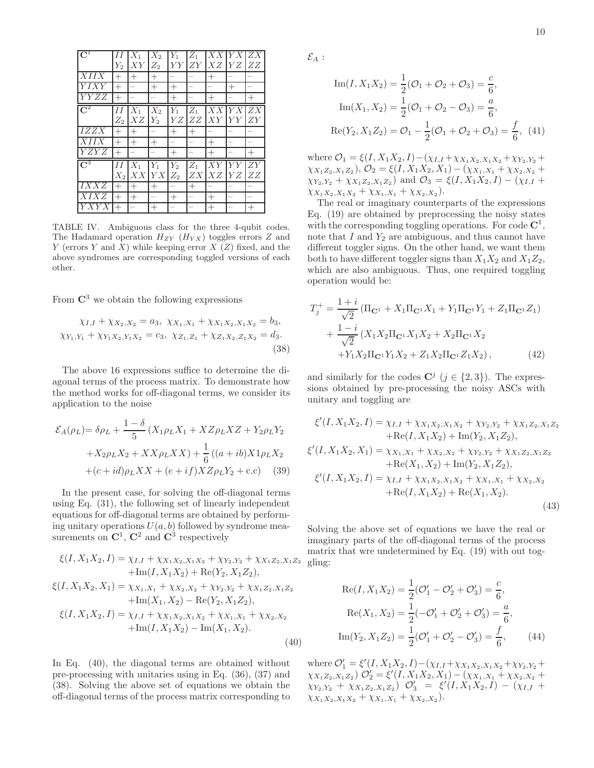| $\overline{\mathrm{C}^1}$ | II        | $X_1$  | $\overline{\mathit{X}}_2$ | $\overline{Y}_1$ | $Z_1$  | XX     | $YX$ $ZX$ |        |
|---------------------------|-----------|--------|---------------------------|------------------|--------|--------|-----------|--------|
|                           | $Y_2$     | XY     | $Z_2$                     | YY               | ZY     | XZ     | YZ        | ZZ     |
| $\overline{XII}IX$        | $^{+}$    | $^{+}$ | $^{+}$                    |                  |        | $^{+}$ |           |        |
| YIXY                      | $^{+}$    |        | $^{+}$                    | $^{+}$           |        |        | $^{+}$    |        |
| $\overline{Y}YZZ$         | $^{+}$    |        | -                         | $^{+}$           |        | $^{+}$ |           | $^{+}$ |
| $\mathrm{C}^2$            | IΙ        | $X_1$  | $\overline{X_2}$          | $\overline{Y_1}$ | $Z_1$  | X X    | Y X       | ZX     |
|                           | $Z_2$     | XZ     | $Y_2$                     | YZ               | ZZ     | XY     | YY        | ZY     |
| <i>IZZX</i>               | $^{+}$    | $^{+}$ |                           | $^{+}$           | $^{+}$ |        |           |        |
| $\overline{XII}IX$        | $^{+}$    | $^{+}$ | $^{+}$                    |                  |        | $^{+}$ |           |        |
| <b>YZYZ</b>               | $+$       |        |                           | $^{+}$           |        | $^{+}$ |           | $^{+}$ |
| $\mathsf{C}^3$            | $\cal II$ | $X_1$  | $\overline{Y}_1$          | $Y_2$            | $Z_1$  | XY     | YY        | ZY     |
|                           | $X_2$     | XX     | ${\cal YX}$               | $Z_2$            | ZX     | XZ     | YZ        | ZZ     |
| IXXZ                      | $^{+}$    | $^{+}$ | $^{+}$                    |                  | $^{+}$ |        |           |        |
| XIXZ                      | $^{+}$    | $^{+}$ | -                         | $^{+}$           |        | $^{+}$ |           |        |
| <i>YXYX</i>               | $^{+}$    |        | $^{+}$                    |                  |        | $^{+}$ |           | $^{+}$ |

TABLE IV. Ambiguous class for the three 4-qubit codes. The Hadamard operation  $H_{ZY}$  ( $H_{YX}$ ) toggles errors Z and  $Y$  (errors  $Y$  and  $X$ ) while keeping error  $X$  ( $Z$ ) fixed, and the above syndromes are corresponding toggled versions of each other.

From  $\mathbb{C}^3$  we obtain the following expressions

$$
\chi_{I,I} + \chi_{X_2, X_2} = a_3, \ \chi_{X_1, X_1} + \chi_{X_1 X_2, X_1 X_2} = b_3, \chi_{Y_1, Y_1} + \chi_{Y_1 X_2, Y_1 X_2} = c_3, \ \chi_{Z_1, Z_1} + \chi_{Z_1 X_2, Z_1 X_2} = d_3.
$$
\n(38)

The above 16 expressions suffice to determine the diagonal terms of the process matrix. To demonstrate how the method works for off-diagonal terms, we consider its application to the noise

$$
\mathcal{E}_A(\rho_L) = \delta \rho_L + \frac{1 - \delta}{5} (X_1 \rho_L X_1 + X Z \rho_L X Z + Y_2 \rho_L Y_2 + X_2 \rho_L X_2 + X X \rho_L X X) + \frac{1}{6} ((a + ib) X 1 \rho_L X_2 + (c + id) \rho_L X X + (e + if) X Z \rho_L Y_2 + c.c)
$$
 (39)

In the present case, for solving the off-diagonal terms using Eq. (31), the following set of linearly independent equations for off-diagonal terms are obtained by performing unitary operations  $U(a, b)$  followed by syndrome measurements on  $\mathbb{C}^1$ ,  $\mathbb{C}^2$  and  $\mathbb{C}^3$  respectively

$$
\xi(I, X_1X_2, I) = \chi_{I, I} + \chi_{X_1X_2, X_1X_2} + \chi_{Y_2, Y_2} + \chi_{X_1Z_2, X_1Z_2}
$$
  
+Im $(I, X_1X_2) + \text{Re}(Y_2, X_1Z_2),$   

$$
\xi(I, X_1X_2, X_1) = \chi_{X_1, X_1} + \chi_{X_2, X_2} + \chi_{Y_2, Y_2} + \chi_{X_1Z_2, X_1Z_2}
$$
  
+Im $(X_1, X_2) - \text{Re}(Y_2, X_1Z_2),$   

$$
\xi(I, X_1X_2, I) = \chi_{I, I} + \chi_{X_1X_2, X_1X_2} + \chi_{X_1, X_1} + \chi_{X_2, X_2}
$$
  
+Im $(I, X_1X_2) - \text{Im}(X_1, X_2).$  (40)

In Eq. (40), the diagonal terms are obtained without pre-processing with unitaries using in Eq. (36), (37) and (38). Solving the above set of equations we obtain the off-diagonal terms of the process matrix corresponding to  $\mathcal{E}_A$  :

Im(*I*, 
$$
X_1 X_2
$$
) =  $\frac{1}{2}$ ( $\mathcal{O}_1 + \mathcal{O}_2 + \mathcal{O}_3$ ) =  $\frac{c}{6}$ ,  
\nIm( $X_1, X_2$ ) =  $\frac{1}{2}$ ( $\mathcal{O}_1 + \mathcal{O}_2 - \mathcal{O}_3$ ) =  $\frac{a}{6}$ ,  
\nRe( $Y_2, X_1 Z_2$ ) =  $\mathcal{O}_1 - \frac{1}{2}$ ( $\mathcal{O}_1 + \mathcal{O}_2 + \mathcal{O}_3$ ) =  $\frac{f}{6}$ , (41)

where  $\mathcal{O}_1 = \xi(I, X_1X_2, I) - (\chi_{I,I} + \chi_{X_1X_2, X_1X_2} + \chi_{Y_2, Y_2} +$  $(\chi_{X_1Z_2,X_1Z_2}), \mathcal{O}_2 = \xi(I, X_1X_2, X_1) - (\chi_{X_1,X_1} + \chi_{X_2,X_2} + \chi_{X_1} + \chi_{X_1} + \chi_{X_2} + \chi_{X_1} + \chi_{X_1} + \chi_{X_2} + \chi_{X_1} + \chi_{X_2} + \chi_{X_1} + \chi_{X_2} + \chi_{X_1} + \chi_{X_2} + \chi_{X_1} + \chi_{X_2} + \chi_{X_1} + \chi_{X_2} + \chi_{X_1} + \chi_{X_2} + \chi_{X_1} + \chi_{X_2$  $\chi_{Y_2,Y_2} + \chi_{X_1Z_2,X_1Z_2}$  and  $\mathcal{O}_3 = \xi(I,X_1X_2,I) - (\chi_{I,I} +$  $\chi_{X_1X_2,X_1X_2} + \chi_{X_1,X_1} + \chi_{X_2,X_2}$ ).

The real or imaginary counterparts of the expressions Eq. (19) are obtained by preprocessing the noisy states with the corresponding toggling operations. For code  $\mathbb{C}^1$ , note that  $I$  and  $Y_2$  are ambiguous, and thus cannot have different toggler signs. On the other hand, we want them both to have different toggler signs than  $X_1X_2$  and  $X_1Z_2$ , which are also ambiguous. Thus, one required toggling operation would be:

$$
T_j^+ = \frac{1+i}{\sqrt{2}} \left( \Pi_{\mathbf{C}^1} + X_1 \Pi_{\mathbf{C}^1} X_1 + Y_1 \Pi_{\mathbf{C}^1} Y_1 + Z_1 \Pi_{\mathbf{C}^1} Z_1 \right) + \frac{1-i}{\sqrt{2}} \left( X_1 X_2 \Pi_{\mathbf{C}^1} X_1 X_2 + X_2 \Pi_{\mathbf{C}^1} X_2 \right) + Y_1 X_2 \Pi_{\mathbf{C}^1} Y_1 X_2 + Z_1 X_2 \Pi_{\mathbf{C}^1} Z_1 X_2 \right),
$$
(42)

and similarly for the codes  $\mathbb{C}^j$   $(j \in \{2,3\})$ . The expressions obtained by pre-processing the noisy ASCs with unitary and toggling are

$$
\xi'(I, X_1X_2, I) = \chi_{I,I} + \chi_{X_1X_2, X_1X_2} + \chi_{Y_2,Y_2} + \chi_{X_1Z_2, X_1Z_2} + \text{Re}(I, X_1X_2) + \text{Im}(Y_2, X_1Z_2), \n\xi'(I, X_1X_2, X_1) = \chi_{X_1, X_1} + \chi_{X_2, X_2} + \chi_{Y_2, Y_2} + \chi_{X_1Z_2, X_1Z_2} + \text{Re}(X_1, X_2) + \text{Im}(Y_2, X_1Z_2), \n\xi'(I, X_1X_2, I) = \chi_{I,I} + \chi_{X_1X_2, X_1X_2} + \chi_{X_1, X_1} + \chi_{X_2, X_2} + \text{Re}(I, X_1X_2) + \text{Re}(X_1, X_2).
$$
\n(43)

Solving the above set of equations we have the real or imaginary parts of the off-diagonal terms of the process matrix that wre undetermined by Eq. (19) with out toggling:

$$
Re(I, X_1 X_2) = \frac{1}{2}(\mathcal{O}'_1 - \mathcal{O}'_2 + \mathcal{O}'_3) = \frac{c}{6},
$$
  
\n
$$
Re(X_1, X_2) = \frac{1}{2}(-\mathcal{O}'_1 + \mathcal{O}'_2 + \mathcal{O}'_3) = \frac{a}{6},
$$
  
\n
$$
Im(Y_2, X_1 Z_2) = \frac{1}{2}(\mathcal{O}'_1 + \mathcal{O}'_2 - \mathcal{O}'_3) = \frac{f}{6},
$$
 (44)

where  $\mathcal{O}'_1 = \xi'(I, X_1X_2, I) - (\chi_{I, I} + \chi_{X_1X_2, X_1X_2} + \chi_{Y_2, Y_2} +$  $(\chi_{X_1Z_2,X_1Z_2}) \mathcal{O}'_2 = \xi'(I,X_1X_2,X_1) - (\chi_{X_1,X_1} + \chi_{X_2,X_2} +$  $\chi_{Y_2,Y_2} + \chi_{X_1Z_2,X_1Z_2}$ )  $\mathcal{O}'_3$  =  $\xi'(I,X_1X_2,I) - (\chi_{I,I} +$  $\chi_{X_1X_2,X_1X_2} + \chi_{X_1,X_1} + \chi_{X_2,X_2}$ ).